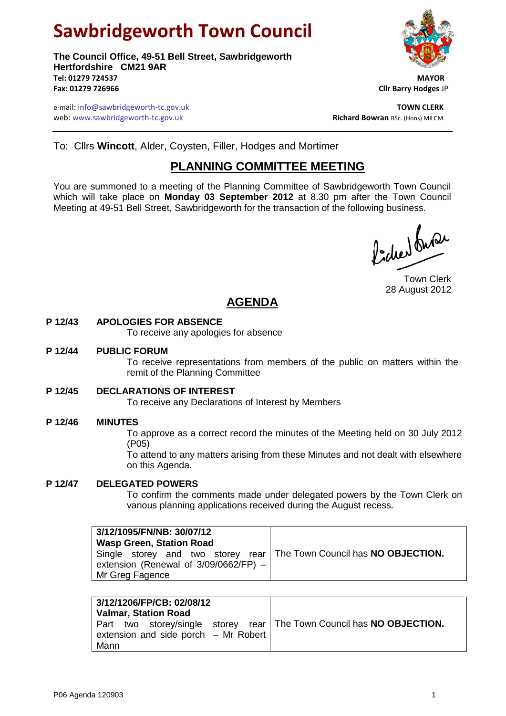# **Sawbridgeworth Town Council**

**The Council Office, 49-51 Bell Street, Sawbridgeworth Hertfordshire CM21 9AR Tel: 01279 724537 MAYOR Fax: 01279 726966 Cllr Barry Hodges** JP



e-mail: info@sawbridgeworth-tc.gov.uk **TOWN CLERK** web: www.sawbridgeworth-tc.gov.uk<br> **Richard Bowran** BSc. (Hons) MILCM

To: Cllrs **Wincott**, Alder, Coysten, Filler, Hodges and Mortimer

# **PLANNING COMMITTEE MEETING**

You are summoned to a meeting of the Planning Committee of Sawbridgeworth Town Council which will take place on **Monday 03 September 2012** at 8.30 pm after the Town Council Meeting at 49-51 Bell Street, Sawbridgeworth for the transaction of the following business.

Picked fune

Town Clerk 28 August 2012

# **AGENDA**

# **P 12/43 APOLOGIES FOR ABSENCE**

To receive any apologies for absence

#### **P 12/44 PUBLIC FORUM**

To receive representations from members of the public on matters within the remit of the Planning Committee

#### **P 12/45 DECLARATIONS OF INTEREST**

To receive any Declarations of Interest by Members

## **P 12/46 MINUTES**

To approve as a correct record the minutes of the Meeting held on 30 July 2012 (P05)

To attend to any matters arising from these Minutes and not dealt with elsewhere on this Agenda.

#### **P 12/47 DELEGATED POWERS**

To confirm the comments made under delegated powers by the Town Clerk on various planning applications received during the August recess.

| 3/12/1095/FN/NB: 30/07/12<br><b>Wasp Green, Station Road</b><br>Single storey and two storey rear   The Town Council has <b>NO OBJECTION.</b><br>extension (Renewal of $3/09/0662/FP$ ) –<br>Mr Greg Fagence |  |
|--------------------------------------------------------------------------------------------------------------------------------------------------------------------------------------------------------------|--|
|--------------------------------------------------------------------------------------------------------------------------------------------------------------------------------------------------------------|--|

| 3/12/1206/FP/CB: 02/08/12<br><b>Valmar, Station Road</b>                                                                  |  |
|---------------------------------------------------------------------------------------------------------------------------|--|
| Part two storey/single storey rear   The Town Council has NO OBJECTION.<br>extension and side porch $-$ Mr Robert<br>Mann |  |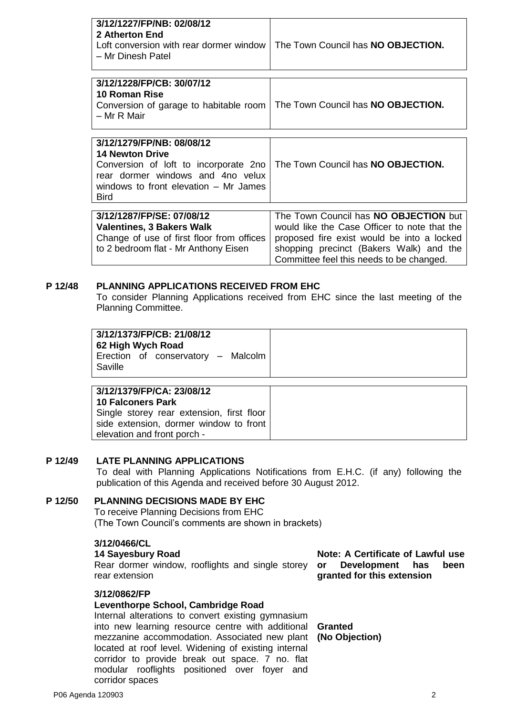| 3/12/1227/FP/NB: 02/08/12<br>2 Atherton End<br>Loft conversion with rear dormer window<br>- Mr Dinesh Patel                                                                               | The Town Council has <b>NO OBJECTION.</b>                                                                                           |
|-------------------------------------------------------------------------------------------------------------------------------------------------------------------------------------------|-------------------------------------------------------------------------------------------------------------------------------------|
| 3/12/1228/FP/CB: 30/07/12<br>10 Roman Rise<br>Conversion of garage to habitable room<br>– Mr R Mair                                                                                       | The Town Council has NO OBJECTION.                                                                                                  |
| 3/12/1279/FP/NB: 08/08/12<br><b>14 Newton Drive</b><br>Conversion of loft to incorporate 2no<br>rear dormer windows and 4no velux<br>windows to front elevation – Mr James<br><b>Bird</b> | The Town Council has NO OBJECTION.                                                                                                  |
| 3/12/1287/FP/SE: 07/08/12<br><b>Valentines, 3 Bakers Walk</b><br>Change of use of first floor from offices                                                                                | The Town Council has NO OBJECTION but<br>would like the Case Officer to note that the<br>proposed fire exist would be into a locked |

#### **P 12/48 PLANNING APPLICATIONS RECEIVED FROM EHC**

to 2 bedroom flat - Mr Anthony Eisen

To consider Planning Applications received from EHC since the last meeting of the Planning Committee.

| 3/12/1373/FP/CB: 21/08/12<br>62 High Wych Road<br>Erection of conservatory - Malcolm |
|--------------------------------------------------------------------------------------|
|                                                                                      |

| 3/12/13/9/FP/CA: 23/08/12                 |
|-------------------------------------------|
| <b>10 Falconers Park</b>                  |
| Single storey rear extension, first floor |
| side extension, dormer window to front    |
| elevation and front porch -               |
|                                           |

#### **P 12/49 LATE PLANNING APPLICATIONS**

To deal with Planning Applications Notifications from E.H.C. (if any) following the publication of this Agenda and received before 30 August 2012.

# **P 12/50 PLANNING DECISIONS MADE BY EHC**

To receive Planning Decisions from EHC (The Town Council's comments are shown in brackets)

#### **3/12/0466/CL**

#### **14 Sayesbury Road**

Rear dormer window, rooflights and single storey rear extension

#### **3/12/0862/FP**

## **Leventhorpe School, Cambridge Road**

Internal alterations to convert existing gymnasium into new learning resource centre with additional **Granted** mezzanine accommodation. Associated new plant **(No Objection)**located at roof level. Widening of existing internal corridor to provide break out space. 7 no. flat modular rooflights positioned over foyer and corridor spaces

**Note: A Certificate of Lawful use or Development has been granted for this extension**

shopping precinct (Bakers Walk) and the Committee feel this needs to be changed.